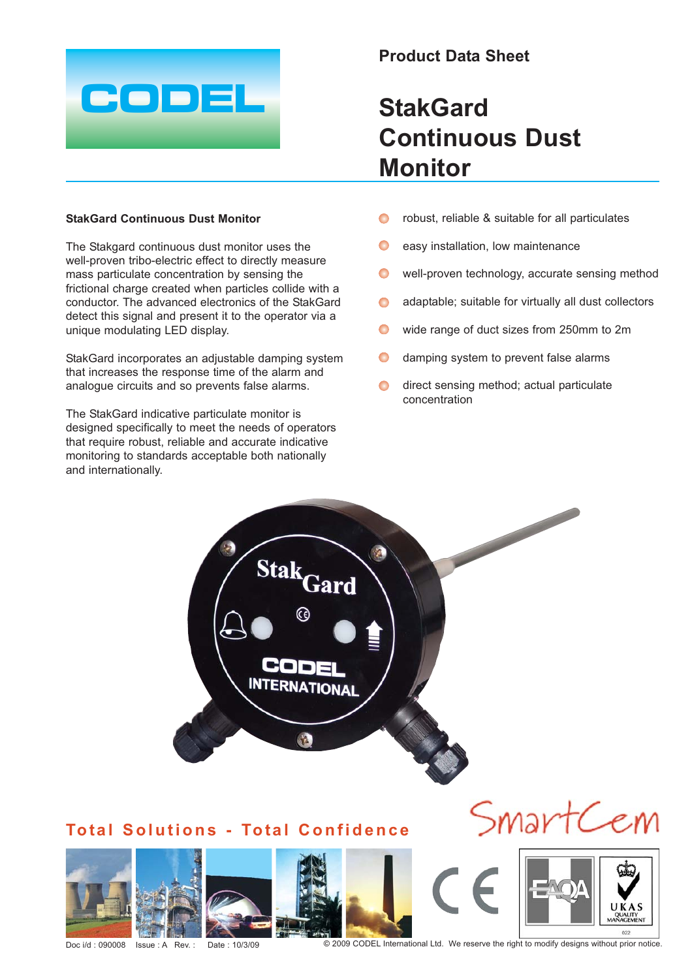

## **StakGard Continuous Dust Monitor**

The Stakgard continuous dust monitor uses the well-proven tribo-electric effect to directly measure mass particulate concentration by sensing the frictional charge created when particles collide with a conductor. The advanced electronics of the StakGard detect this signal and present it to the operator via a unique modulating LED display.

StakGard incorporates an adjustable damping system that increases the response time of the alarm and analogue circuits and so prevents false alarms.

The StakGard indicative particulate monitor is designed specifically to meet the needs of operators that require robust, reliable and accurate indicative monitoring to standards acceptable both nationally and internationally.

## **Product Data Sheet**

## **StakGard Continuous Dust Monitor**

- robust, reliable & suitable for all particulates  $\bullet$
- $\bullet$ easy installation, low maintenance
- $\bullet$ well-proven technology, accurate sensing method
- adaptable; suitable for virtually all dust collectors  $\bullet$
- $\bullet$ wide range of duct sizes from 250mm to 2m
- $\bullet$ damping system to prevent false alarms
- direct sensing method; actual particulate  $\bullet$ concentration



Doc i/d : 090008 Issue : A Rev. : Date : 10/3/09 © 2009 CODEL International Ltd. We reserve the right to modify designs without prior notice.